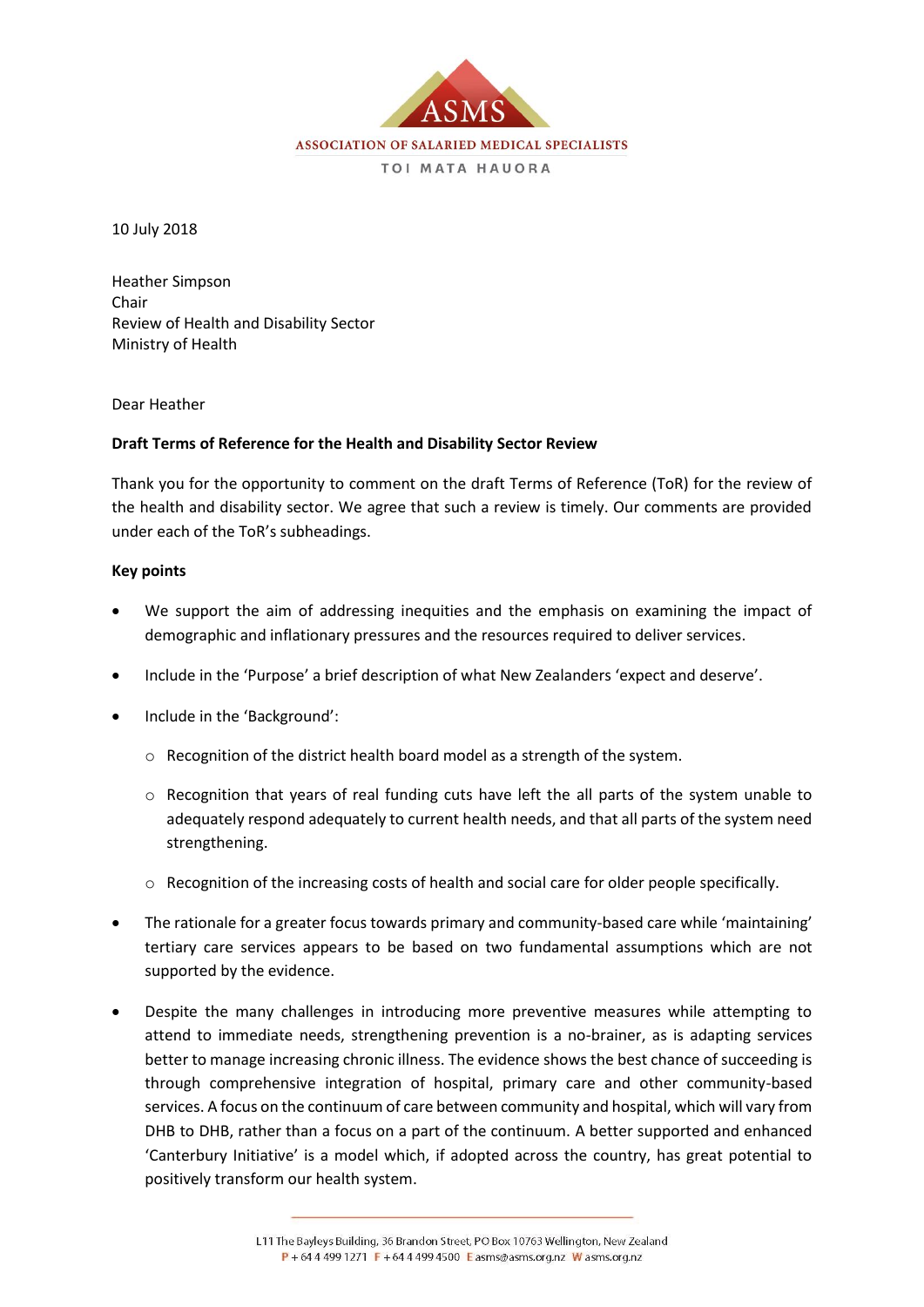

10 July 2018

Heather Simpson Chair Review of Health and Disability Sector Ministry of Health

Dear Heather

#### **Draft Terms of Reference for the Health and Disability Sector Review**

Thank you for the opportunity to comment on the draft Terms of Reference (ToR) for the review of the health and disability sector. We agree that such a review is timely. Our comments are provided under each of the ToR's subheadings.

#### **Key points**

- We support the aim of addressing inequities and the emphasis on examining the impact of demographic and inflationary pressures and the resources required to deliver services.
- Include in the 'Purpose' a brief description of what New Zealanders 'expect and deserve'.
- Include in the 'Background':
	- o Recognition of the district health board model as a strength of the system.
	- $\circ$  Recognition that years of real funding cuts have left the all parts of the system unable to adequately respond adequately to current health needs, and that all parts of the system need strengthening.
	- o Recognition of the increasing costs of health and social care for older people specifically.
- The rationale for a greater focus towards primary and community-based care while 'maintaining' tertiary care services appears to be based on two fundamental assumptions which are not supported by the evidence.
- Despite the many challenges in introducing more preventive measures while attempting to attend to immediate needs, strengthening prevention is a no-brainer, as is adapting services better to manage increasing chronic illness. The evidence shows the best chance of succeeding is through comprehensive integration of hospital, primary care and other community-based services. A focus on the continuum of care between community and hospital, which will vary from DHB to DHB, rather than a focus on a part of the continuum. A better supported and enhanced 'Canterbury Initiative' is a model which, if adopted across the country, has great potential to positively transform our health system.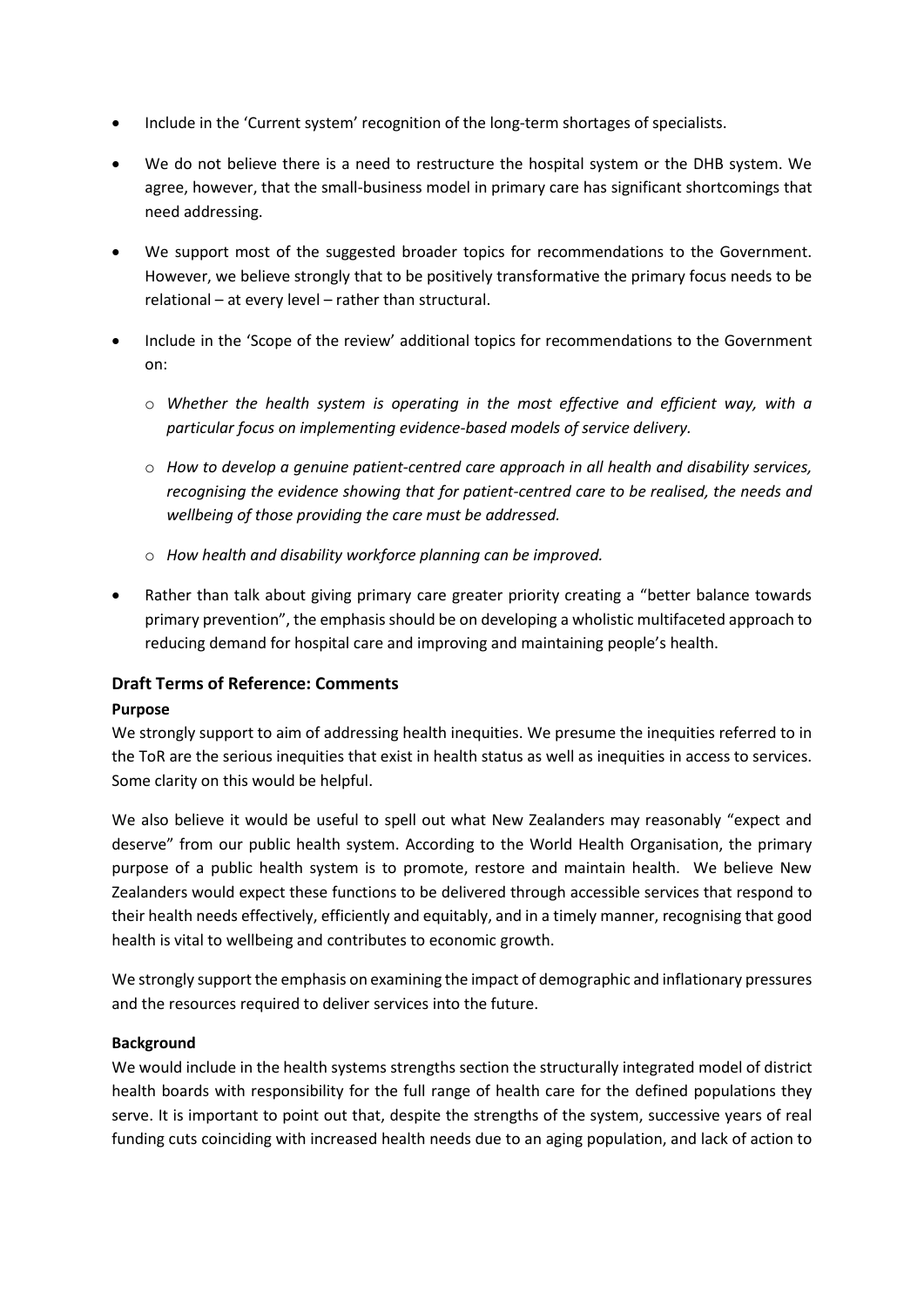- Include in the 'Current system' recognition of the long-term shortages of specialists.
- We do not believe there is a need to restructure the hospital system or the DHB system. We agree, however, that the small-business model in primary care has significant shortcomings that need addressing.
- We support most of the suggested broader topics for recommendations to the Government. However, we believe strongly that to be positively transformative the primary focus needs to be relational – at every level – rather than structural.
- Include in the 'Scope of the review' additional topics for recommendations to the Government on:
	- o *Whether the health system is operating in the most effective and efficient way, with a particular focus on implementing evidence-based models of service delivery.*
	- o *How to develop a genuine patient-centred care approach in all health and disability services, recognising the evidence showing that for patient-centred care to be realised, the needs and wellbeing of those providing the care must be addressed.*
	- o *How health and disability workforce planning can be improved.*
- Rather than talk about giving primary care greater priority creating a "better balance towards primary prevention", the emphasis should be on developing a wholistic multifaceted approach to reducing demand for hospital care and improving and maintaining people's health.

# **Draft Terms of Reference: Comments**

# **Purpose**

We strongly support to aim of addressing health inequities. We presume the inequities referred to in the ToR are the serious inequities that exist in health status as well as inequities in access to services. Some clarity on this would be helpful.

We also believe it would be useful to spell out what New Zealanders may reasonably "expect and deserve" from our public health system. According to the World Health Organisation, the primary purpose of a public health system is to promote, restore and maintain health. We believe New Zealanders would expect these functions to be delivered through accessible services that respond to their health needs effectively, efficiently and equitably, and in a timely manner, recognising that good health is vital to wellbeing and contributes to economic growth.

We strongly support the emphasis on examining the impact of demographic and inflationary pressures and the resources required to deliver services into the future.

# **Background**

We would include in the health systems strengths section the structurally integrated model of district health boards with responsibility for the full range of health care for the defined populations they serve. It is important to point out that, despite the strengths of the system, successive years of real funding cuts coinciding with increased health needs due to an aging population, and lack of action to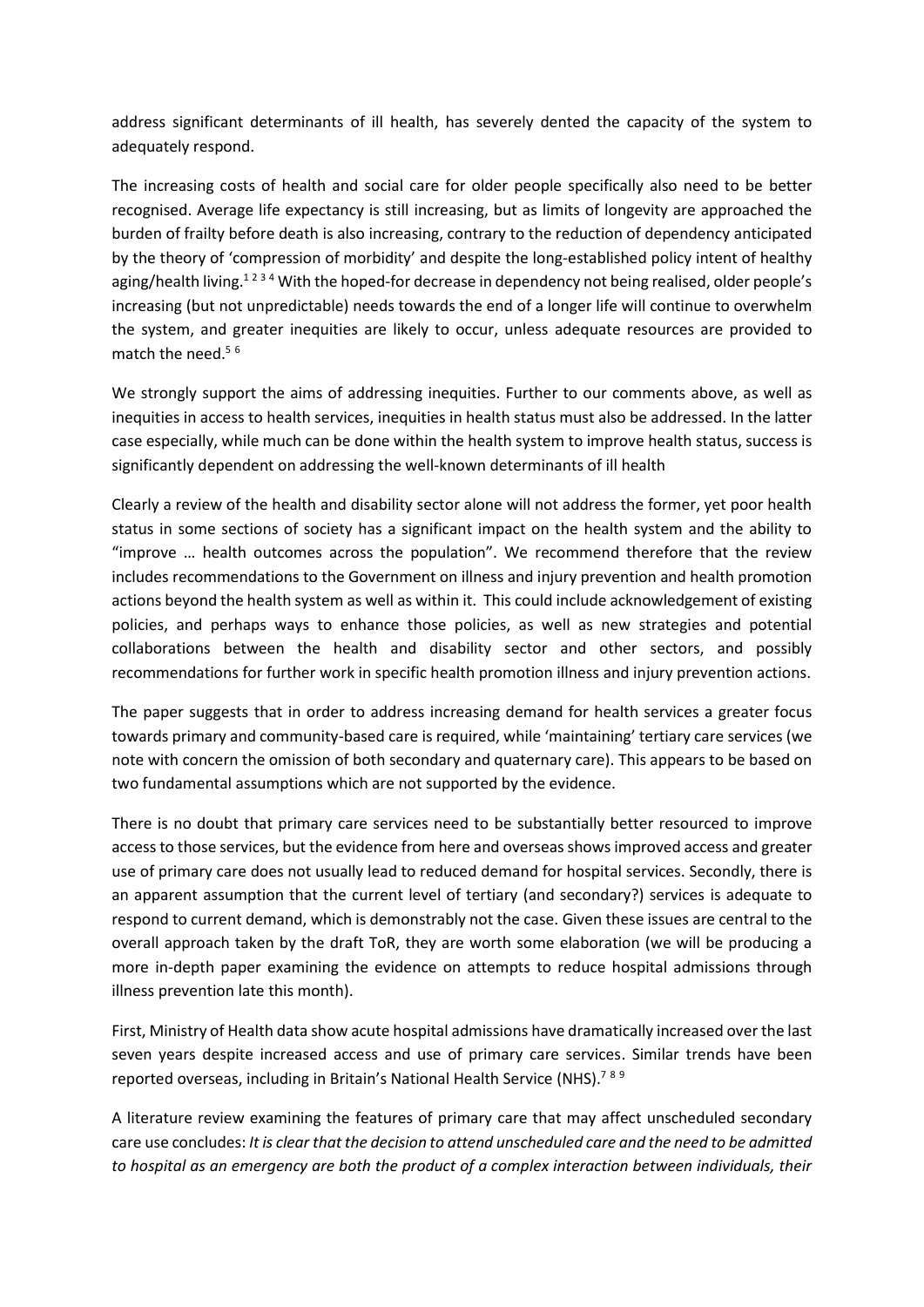address significant determinants of ill health, has severely dented the capacity of the system to adequately respond.

The increasing costs of health and social care for older people specifically also need to be better recognised. Average life expectancy is still increasing, but as limits of longevity are approached the burden of frailty before death is also increasing, contrary to the reduction of dependency anticipated by the theory of 'compression of morbidity' and despite the long-established policy intent of healthy aging/health living.<sup>1234</sup> With the hoped-for decrease in dependency not being realised, older people's increasing (but not unpredictable) needs towards the end of a longer life will continue to overwhelm the system, and greater inequities are likely to occur, unless adequate resources are provided to match the need.<sup>56</sup>

We strongly support the aims of addressing inequities. Further to our comments above, as well as inequities in access to health services, inequities in health status must also be addressed. In the latter case especially, while much can be done within the health system to improve health status, success is significantly dependent on addressing the well-known determinants of ill health

Clearly a review of the health and disability sector alone will not address the former, yet poor health status in some sections of society has a significant impact on the health system and the ability to "improve … health outcomes across the population". We recommend therefore that the review includes recommendations to the Government on illness and injury prevention and health promotion actions beyond the health system as well as within it. This could include acknowledgement of existing policies, and perhaps ways to enhance those policies, as well as new strategies and potential collaborations between the health and disability sector and other sectors, and possibly recommendations for further work in specific health promotion illness and injury prevention actions.

The paper suggests that in order to address increasing demand for health services a greater focus towards primary and community-based care is required, while 'maintaining' tertiary care services (we note with concern the omission of both secondary and quaternary care). This appears to be based on two fundamental assumptions which are not supported by the evidence.

There is no doubt that primary care services need to be substantially better resourced to improve access to those services, but the evidence from here and overseas shows improved access and greater use of primary care does not usually lead to reduced demand for hospital services. Secondly, there is an apparent assumption that the current level of tertiary (and secondary?) services is adequate to respond to current demand, which is demonstrably not the case. Given these issues are central to the overall approach taken by the draft ToR, they are worth some elaboration (we will be producing a more in-depth paper examining the evidence on attempts to reduce hospital admissions through illness prevention late this month).

First, Ministry of Health data show acute hospital admissions have dramatically increased over the last seven years despite increased access and use of primary care services. Similar trends have been reported overseas, including in Britain's National Health Service (NHS).<sup>789</sup>

A literature review examining the features of primary care that may affect unscheduled secondary care use concludes: *It is clear that the decision to attend unscheduled care and the need to be admitted to hospital as an emergency are both the product of a complex interaction between individuals, their*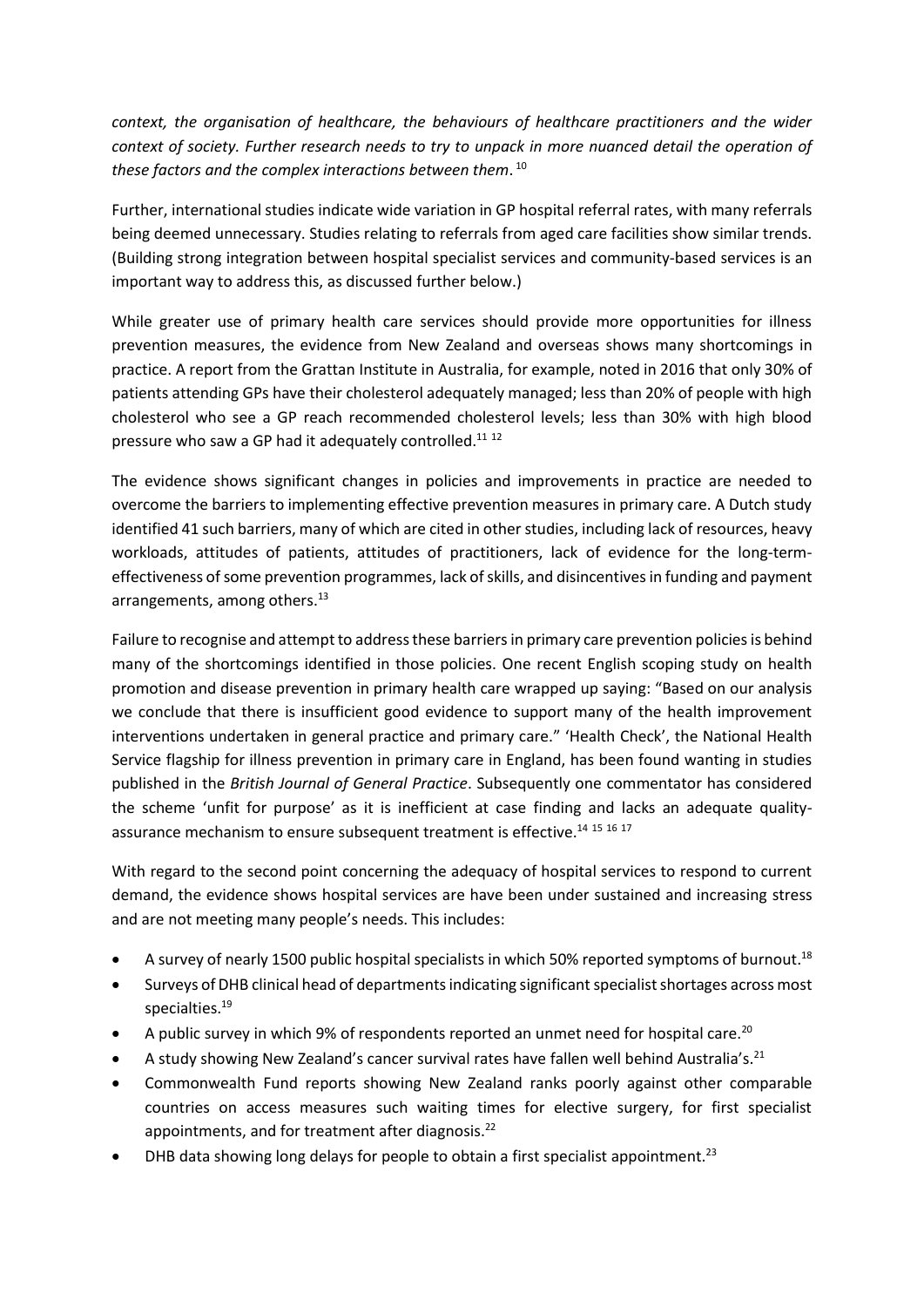*context, the organisation of healthcare, the behaviours of healthcare practitioners and the wider context of society. Further research needs to try to unpack in more nuanced detail the operation of these factors and the complex interactions between them*. 10

Further, international studies indicate wide variation in GP hospital referral rates, with many referrals being deemed unnecessary. Studies relating to referrals from aged care facilities show similar trends. (Building strong integration between hospital specialist services and community-based services is an important way to address this, as discussed further below.)

While greater use of primary health care services should provide more opportunities for illness prevention measures, the evidence from New Zealand and overseas shows many shortcomings in practice. A report from the Grattan Institute in Australia, for example, noted in 2016 that only 30% of patients attending GPs have their cholesterol adequately managed; less than 20% of people with high cholesterol who see a GP reach recommended cholesterol levels; less than 30% with high blood pressure who saw a GP had it adequately controlled.<sup>11 12</sup>

The evidence shows significant changes in policies and improvements in practice are needed to overcome the barriers to implementing effective prevention measures in primary care. A Dutch study identified 41 such barriers, many of which are cited in other studies, including lack of resources, heavy workloads, attitudes of patients, attitudes of practitioners, lack of evidence for the long-termeffectiveness of some prevention programmes, lack of skills, and disincentives in funding and payment arrangements, among others.<sup>13</sup>

Failure to recognise and attempt to address these barriers in primary care prevention policiesis behind many of the shortcomings identified in those policies. One recent English scoping study on health promotion and disease prevention in primary health care wrapped up saying: "Based on our analysis we conclude that there is insufficient good evidence to support many of the health improvement interventions undertaken in general practice and primary care." 'Health Check', the National Health Service flagship for illness prevention in primary care in England, has been found wanting in studies published in the *British Journal of General Practice*. Subsequently one commentator has considered the scheme 'unfit for purpose' as it is inefficient at case finding and lacks an adequate qualityassurance mechanism to ensure subsequent treatment is effective.<sup>14 15</sup> <sup>16</sup> 17

With regard to the second point concerning the adequacy of hospital services to respond to current demand, the evidence shows hospital services are have been under sustained and increasing stress and are not meeting many people's needs. This includes:

- A survey of nearly 1500 public hospital specialists in which 50% reported symptoms of burnout.<sup>18</sup>
- Surveys of DHB clinical head of departments indicating significant specialist shortages across most specialties.<sup>19</sup>
- A public survey in which 9% of respondents reported an unmet need for hospital care.<sup>20</sup>
- A study showing New Zealand's cancer survival rates have fallen well behind Australia's.<sup>21</sup>
- Commonwealth Fund reports showing New Zealand ranks poorly against other comparable countries on access measures such waiting times for elective surgery, for first specialist appointments, and for treatment after diagnosis.<sup>22</sup>
- DHB data showing long delays for people to obtain a first specialist appointment.<sup>23</sup>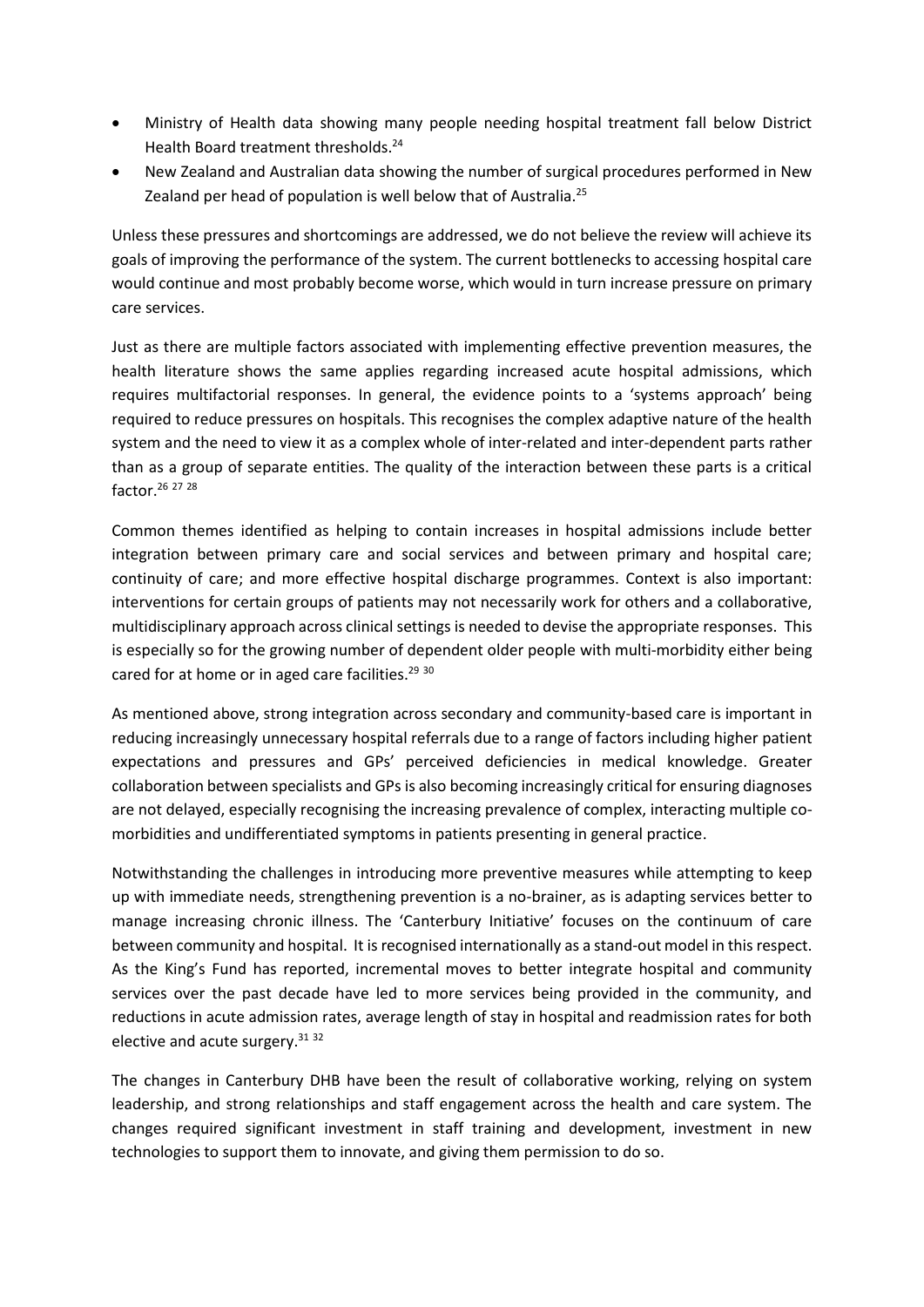- Ministry of Health data showing many people needing hospital treatment fall below District Health Board treatment thresholds.<sup>24</sup>
- New Zealand and Australian data showing the number of surgical procedures performed in New Zealand per head of population is well below that of Australia.<sup>25</sup>

Unless these pressures and shortcomings are addressed, we do not believe the review will achieve its goals of improving the performance of the system. The current bottlenecks to accessing hospital care would continue and most probably become worse, which would in turn increase pressure on primary care services.

Just as there are multiple factors associated with implementing effective prevention measures, the health literature shows the same applies regarding increased acute hospital admissions, which requires multifactorial responses. In general, the evidence points to a 'systems approach' being required to reduce pressures on hospitals. This recognises the complex adaptive nature of the health system and the need to view it as a complex whole of inter-related and inter-dependent parts rather than as a group of separate entities. The quality of the interaction between these parts is a critical factor.<sup>26</sup> <sup>27</sup> <sup>28</sup>

Common themes identified as helping to contain increases in hospital admissions include better integration between primary care and social services and between primary and hospital care; continuity of care; and more effective hospital discharge programmes. Context is also important: interventions for certain groups of patients may not necessarily work for others and a collaborative, multidisciplinary approach across clinical settings is needed to devise the appropriate responses. This is especially so for the growing number of dependent older people with multi-morbidity either being cared for at home or in aged care facilities.<sup>29 30</sup>

As mentioned above, strong integration across secondary and community-based care is important in reducing increasingly unnecessary hospital referrals due to a range of factors including higher patient expectations and pressures and GPs' perceived deficiencies in medical knowledge. Greater collaboration between specialists and GPs is also becoming increasingly critical for ensuring diagnoses are not delayed, especially recognising the increasing prevalence of complex, interacting multiple comorbidities and undifferentiated symptoms in patients presenting in general practice.

Notwithstanding the challenges in introducing more preventive measures while attempting to keep up with immediate needs, strengthening prevention is a no-brainer, as is adapting services better to manage increasing chronic illness. The 'Canterbury Initiative' focuses on the continuum of care between community and hospital. It is recognised internationally as a stand-out model in this respect. As the King's Fund has reported, incremental moves to better integrate hospital and community services over the past decade have led to more services being provided in the community, and reductions in acute admission rates, average length of stay in hospital and readmission rates for both elective and acute surgery.<sup>31 32</sup>

The changes in Canterbury DHB have been the result of collaborative working, relying on system leadership, and strong relationships and staff engagement across the health and care system. The changes required significant investment in staff training and development, investment in new technologies to support them to innovate, and giving them permission to do so.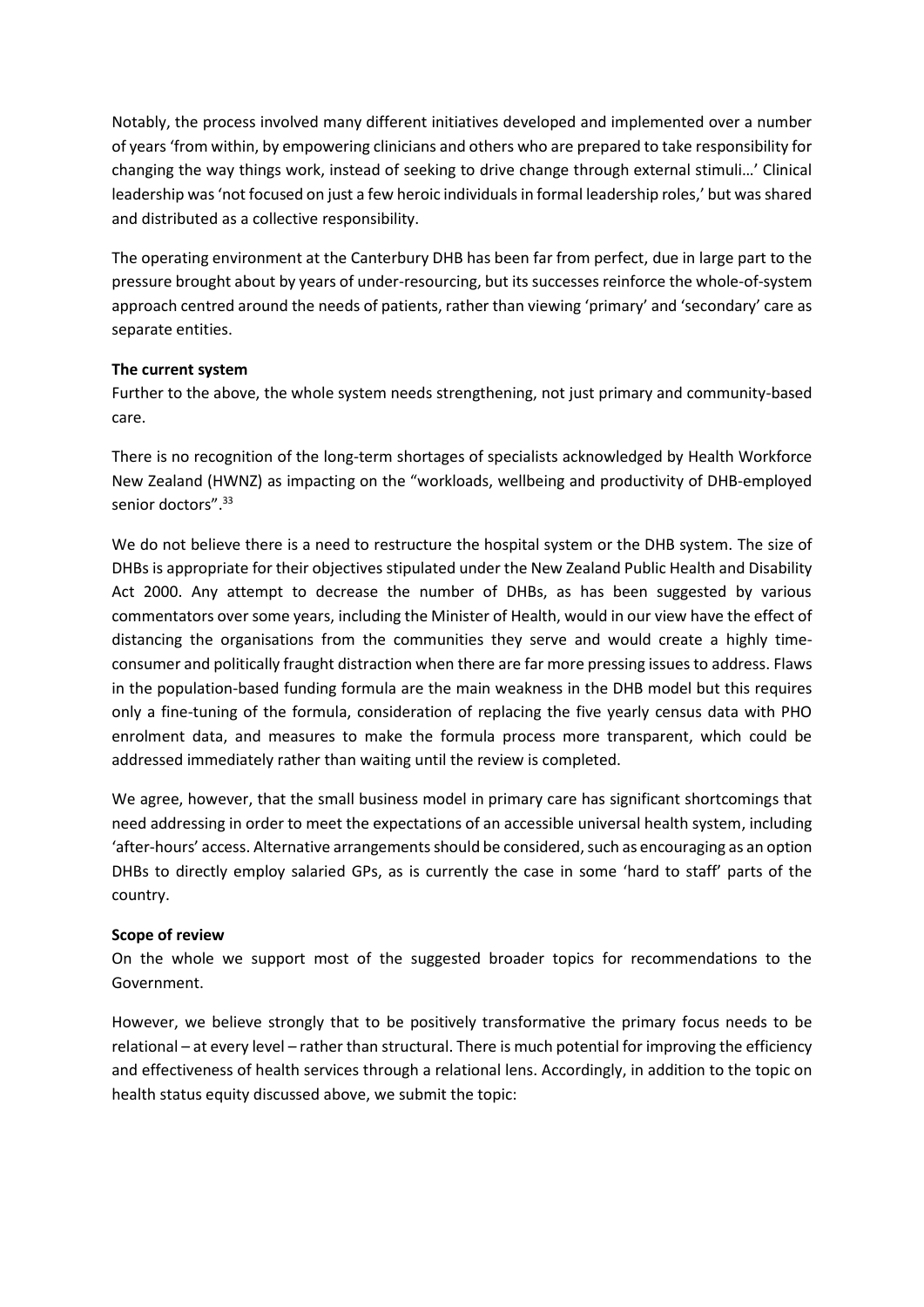Notably, the process involved many different initiatives developed and implemented over a number of years 'from within, by empowering clinicians and others who are prepared to take responsibility for changing the way things work, instead of seeking to drive change through external stimuli…' Clinical leadership was 'not focused on just a few heroic individuals in formal leadership roles,' but was shared and distributed as a collective responsibility.

The operating environment at the Canterbury DHB has been far from perfect, due in large part to the pressure brought about by years of under-resourcing, but its successes reinforce the whole-of-system approach centred around the needs of patients, rather than viewing 'primary' and 'secondary' care as separate entities.

### **The current system**

Further to the above, the whole system needs strengthening, not just primary and community-based care.

There is no recognition of the long-term shortages of specialists acknowledged by Health Workforce New Zealand (HWNZ) as impacting on the "workloads, wellbeing and productivity of DHB-employed senior doctors".<sup>33</sup>

We do not believe there is a need to restructure the hospital system or the DHB system. The size of DHBs is appropriate for their objectives stipulated under the New Zealand Public Health and Disability Act 2000. Any attempt to decrease the number of DHBs, as has been suggested by various commentators over some years, including the Minister of Health, would in our view have the effect of distancing the organisations from the communities they serve and would create a highly timeconsumer and politically fraught distraction when there are far more pressing issues to address. Flaws in the population-based funding formula are the main weakness in the DHB model but this requires only a fine-tuning of the formula, consideration of replacing the five yearly census data with PHO enrolment data, and measures to make the formula process more transparent, which could be addressed immediately rather than waiting until the review is completed.

We agree, however, that the small business model in primary care has significant shortcomings that need addressing in order to meet the expectations of an accessible universal health system, including 'after-hours' access. Alternative arrangements should be considered, such as encouraging as an option DHBs to directly employ salaried GPs, as is currently the case in some 'hard to staff' parts of the country.

#### **Scope of review**

On the whole we support most of the suggested broader topics for recommendations to the Government.

However, we believe strongly that to be positively transformative the primary focus needs to be relational – at every level – rather than structural. There is much potential for improving the efficiency and effectiveness of health services through a relational lens. Accordingly, in addition to the topic on health status equity discussed above, we submit the topic: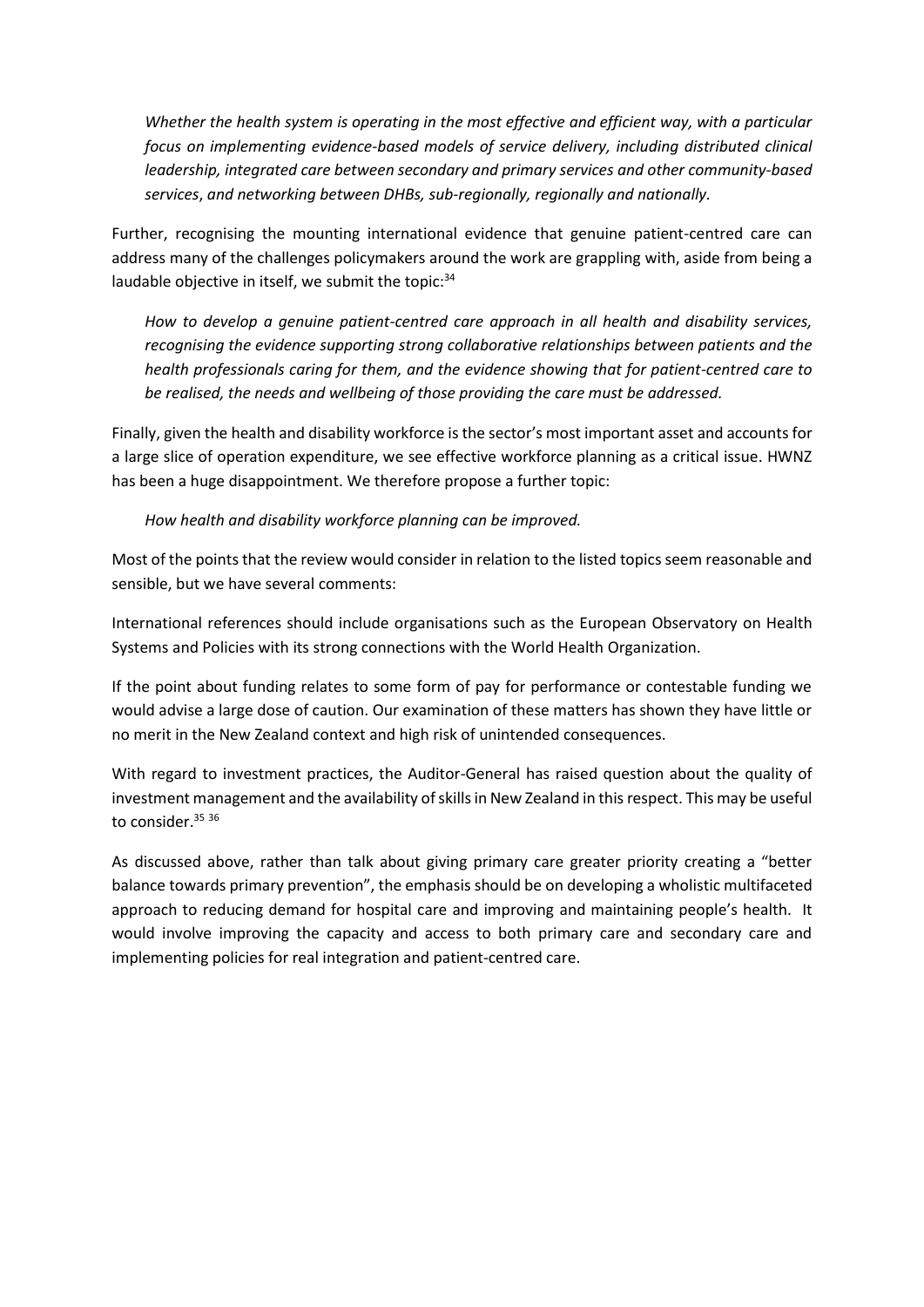*Whether the health system is operating in the most effective and efficient way, with a particular focus on implementing evidence-based models of service delivery, including distributed clinical leadership, integrated care between secondary and primary services and other community-based services*, *and networking between DHBs, sub-regionally, regionally and nationally.*

Further, recognising the mounting international evidence that genuine patient-centred care can address many of the challenges policymakers around the work are grappling with, aside from being a laudable objective in itself, we submit the topic: 34

*How to develop a genuine patient-centred care approach in all health and disability services, recognising the evidence supporting strong collaborative relationships between patients and the health professionals caring for them, and the evidence showing that for patient-centred care to be realised, the needs and wellbeing of those providing the care must be addressed.* 

Finally, given the health and disability workforce is the sector's most important asset and accounts for a large slice of operation expenditure, we see effective workforce planning as a critical issue. HWNZ has been a huge disappointment. We therefore propose a further topic:

*How health and disability workforce planning can be improved.* 

Most of the points that the review would consider in relation to the listed topics seem reasonable and sensible, but we have several comments:

International references should include organisations such as the European Observatory on Health Systems and Policies with its strong connections with the World Health Organization.

If the point about funding relates to some form of pay for performance or contestable funding we would advise a large dose of caution. Our examination of these matters has shown they have little or no merit in the New Zealand context and high risk of unintended consequences.

With regard to investment practices, the Auditor-General has raised question about the quality of investment management and the availability of skills in New Zealand in this respect. This may be useful to consider.<sup>35</sup> 36

As discussed above, rather than talk about giving primary care greater priority creating a "better balance towards primary prevention", the emphasis should be on developing a wholistic multifaceted approach to reducing demand for hospital care and improving and maintaining people's health. It would involve improving the capacity and access to both primary care and secondary care and implementing policies for real integration and patient-centred care.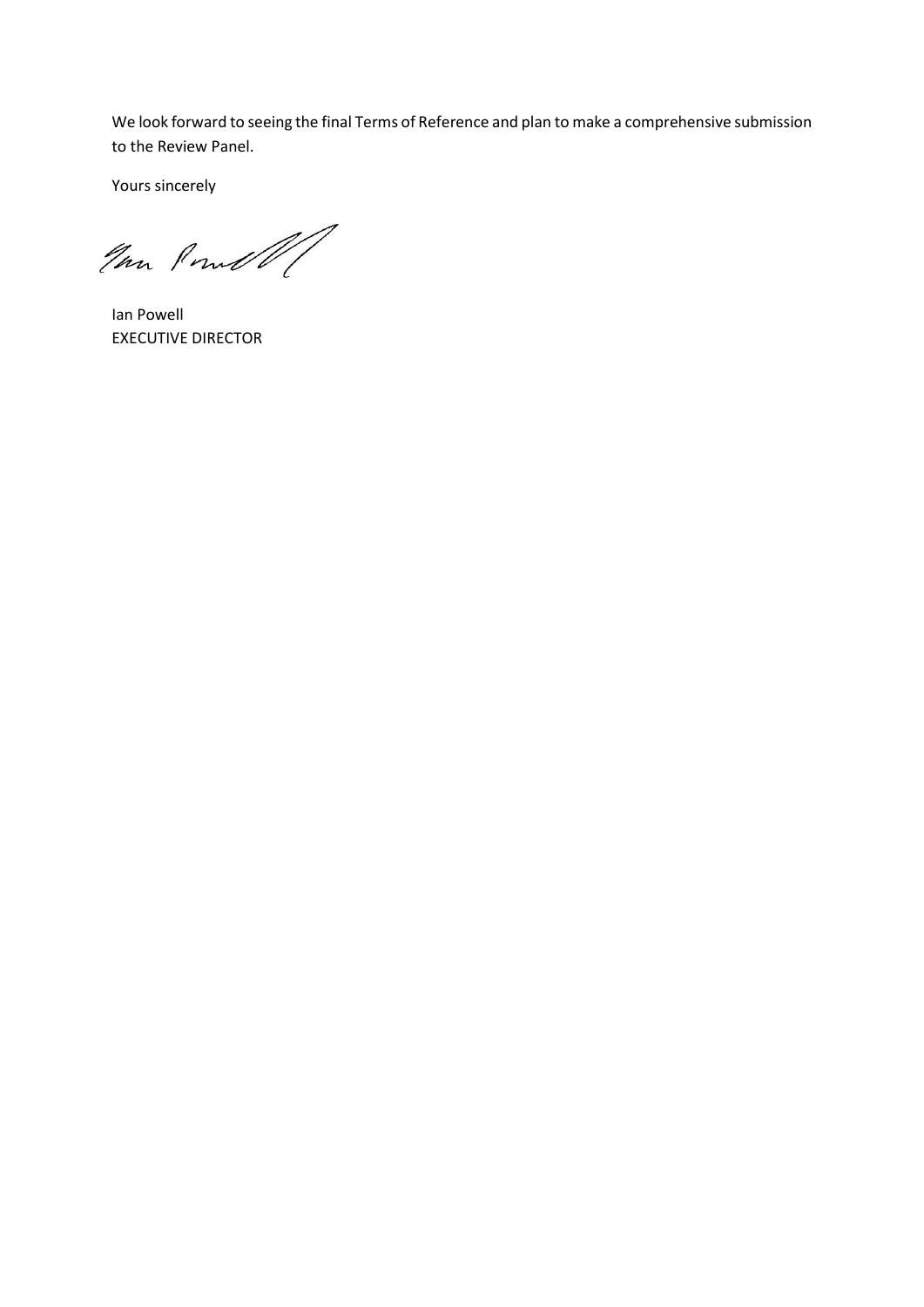We look forward to seeing the final Terms of Reference and plan to make a comprehensive submission to the Review Panel.

Yours sincerely

Im Poul

Ian Powell EXECUTIVE DIRECTOR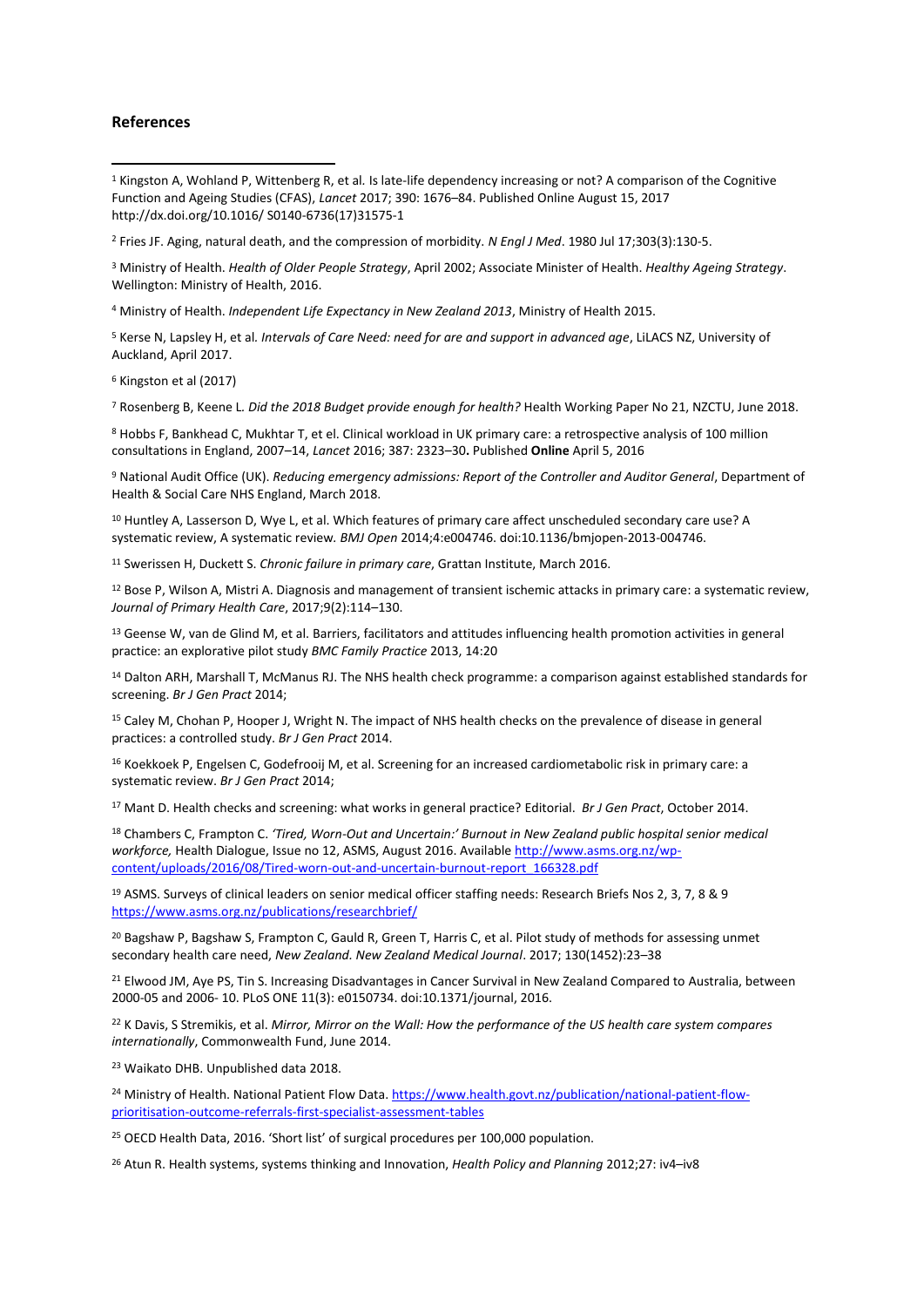#### **References**

1

<sup>1</sup> Kingston A, Wohland P, Wittenberg R, et al*.* Is late-life dependency increasing or not? A comparison of the Cognitive Function and Ageing Studies (CFAS), *Lancet* 2017; 390: 1676–84. Published Online August 15, 2017 http://dx.doi.org/10.1016/ S0140-6736(17)31575-1

<sup>2</sup> Fries JF. Aging, natural death, and the compression of morbidity. *N Engl J Med*. 1980 Jul 17;303(3):130‐5.

<sup>3</sup> Ministry of Health. *Health of Older People Strategy*, April 2002; Associate Minister of Health. *Healthy Ageing Strategy*. Wellington: Ministry of Health, 2016.

<sup>4</sup> Ministry of Health. *Independent Life Expectancy in New Zealand 2013*, Ministry of Health 2015.

<sup>5</sup> Kerse N, Lapsley H, et al*. Intervals of Care Need: need for are and support in advanced age*, LiLACS NZ, University of Auckland, April 2017.

<sup>6</sup> Kingston et al (2017)

<sup>7</sup> Rosenberg B, Keene L*. Did the 2018 Budget provide enough for health?* Health Working Paper No 21, NZCTU, June 2018.

<sup>8</sup> Hobbs F, Bankhead C, Mukhtar T, et el. Clinical workload in UK primary care: a retrospective analysis of 100 million consultations in England, 2007–14, *Lancet* 2016; 387: 2323–30**.** Published **Online** April 5, 2016

<sup>9</sup> National Audit Office (UK). *Reducing emergency admissions: Report of the Controller and Auditor General*, Department of Health & Social Care NHS England, March 2018.

<sup>10</sup> Huntley A, Lasserson D, Wye L, et al. Which features of primary care affect unscheduled secondary care use? A systematic review, A systematic review*. BMJ Open* 2014;4:e004746. doi:10.1136/bmjopen-2013-004746.

<sup>11</sup> Swerissen H, Duckett S. *Chronic failure in primary care*, Grattan Institute, March 2016.

<sup>12</sup> Bose P, Wilson A, Mistri A. Diagnosis and management of transient ischemic attacks in primary care: a systematic review, *Journal of Primary Health Care*, 2017;9(2):114–130.

<sup>13</sup> Geense W, van de Glind M, et al. Barriers, facilitators and attitudes influencing health promotion activities in general practice: an explorative pilot study *BMC Family Practice* 2013, 14:20

<sup>14</sup> Dalton ARH, Marshall T, McManus RJ. The NHS health check programme: a comparison against established standards for screening. *Br J Gen Pract* 2014;

<sup>15</sup> Caley M, Chohan P, Hooper J, Wright N. The impact of NHS health checks on the prevalence of disease in general practices: a controlled study. *Br J Gen Pract* 2014.

<sup>16</sup> Koekkoek P, Engelsen C, Godefrooij M, et al. Screening for an increased cardiometabolic risk in primary care: a systematic review. *Br J Gen Pract* 2014;

<sup>17</sup> Mant D. Health checks and screening: what works in general practice? Editorial. *Br J Gen Pract*, October 2014.

<sup>18</sup> Chambers C, Frampton C. *'Tired, Worn-Out and Uncertain:' Burnout in New Zealand public hospital senior medical workforce,* Health Dialogue, Issue no 12, ASMS, August 2016. Available [http://www.asms.org.nz/wp](http://www.asms.org.nz/wp-content/uploads/2016/08/Tired-worn-out-and-uncertain-burnout-report_166328.pdf)[content/uploads/2016/08/Tired-worn-out-and-uncertain-burnout-report\\_166328.pdf](http://www.asms.org.nz/wp-content/uploads/2016/08/Tired-worn-out-and-uncertain-burnout-report_166328.pdf)

<sup>19</sup> ASMS. Surveys of clinical leaders on senior medical officer staffing needs: Research Briefs Nos 2, 3, 7, 8 & 9 <https://www.asms.org.nz/publications/researchbrief/>

<sup>20</sup> Bagshaw P, Bagshaw S, Frampton C, Gauld R, Green T, Harris C, et al. Pilot study of methods for assessing unmet secondary health care need, *New Zealand. New Zealand Medical Journal*. 2017; 130(1452):23–38

<sup>21</sup> Elwood JM, Aye PS, Tin S. Increasing Disadvantages in Cancer Survival in New Zealand Compared to Australia, between 2000-05 and 2006- 10. PLoS ONE 11(3): e0150734. doi:10.1371/journal, 2016.

<sup>22</sup> K Davis, S Stremikis, et al. *Mirror, Mirror on the Wall: How the performance of the US health care system compares internationally*, Commonwealth Fund, June 2014.

<sup>23</sup> Waikato DHB. Unpublished data 2018.

<sup>24</sup> Ministry of Health. National Patient Flow Data. [https://www.health.govt.nz/publication/national-patient-flow](https://www.health.govt.nz/publication/national-patient-flow-prioritisation-outcome-referrals-first-specialist-assessment-tables)[prioritisation-outcome-referrals-first-specialist-assessment-tables](https://www.health.govt.nz/publication/national-patient-flow-prioritisation-outcome-referrals-first-specialist-assessment-tables)

<sup>25</sup> OECD Health Data, 2016. 'Short list' of surgical procedures per 100,000 population.

<sup>26</sup> Atun R. Health systems, systems thinking and Innovation, *Health Policy and Planning* 2012;27: iv4–iv8